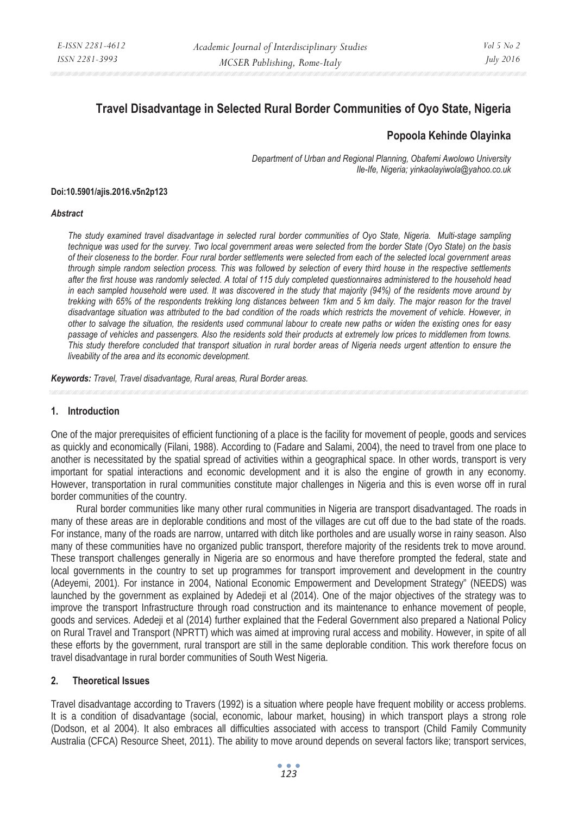# **Travel Disadvantage in Selected Rural Border Communities of Oyo State, Nigeria**

# **Popoola Kehinde Olayinka**

*Department of Urban and Regional Planning, Obafemi Awolowo University Ile-Ife, Nigeria; yinkaolayiwola@yahoo.co.uk* 

#### **Doi:10.5901/ajis.2016.v5n2p123**

#### *Abstract*

*The study examined travel disadvantage in selected rural border communities of Oyo State, Nigeria. Multi-stage sampling technique was used for the survey. Two local government areas were selected from the border State (Oyo State) on the basis of their closeness to the border. Four rural border settlements were selected from each of the selected local government areas through simple random selection process. This was followed by selection of every third house in the respective settlements after the first house was randomly selected. A total of 115 duly completed questionnaires administered to the household head in each sampled household were used. It was discovered in the study that majority (94%) of the residents move around by trekking with 65% of the respondents trekking long distances between 1km and 5 km daily. The major reason for the travel disadvantage situation was attributed to the bad condition of the roads which restricts the movement of vehicle. However, in other to salvage the situation, the residents used communal labour to create new paths or widen the existing ones for easy passage of vehicles and passengers. Also the residents sold their products at extremely low prices to middlemen from towns. This study therefore concluded that transport situation in rural border areas of Nigeria needs urgent attention to ensure the liveability of the area and its economic development.* 

*Keywords: Travel, Travel disadvantage, Rural areas, Rural Border areas.* 

#### **1. Introduction**

One of the major prerequisites of efficient functioning of a place is the facility for movement of people, goods and services as quickly and economically (Filani, 1988). According to (Fadare and Salami, 2004), the need to travel from one place to another is necessitated by the spatial spread of activities within a geographical space. In other words, transport is very important for spatial interactions and economic development and it is also the engine of growth in any economy. However, transportation in rural communities constitute major challenges in Nigeria and this is even worse off in rural border communities of the country.

Rural border communities like many other rural communities in Nigeria are transport disadvantaged. The roads in many of these areas are in deplorable conditions and most of the villages are cut off due to the bad state of the roads. For instance, many of the roads are narrow, untarred with ditch like portholes and are usually worse in rainy season. Also many of these communities have no organized public transport, therefore majority of the residents trek to move around. These transport challenges generally in Nigeria are so enormous and have therefore prompted the federal, state and local governments in the country to set up programmes for transport improvement and development in the country (Adeyemi, 2001). For instance in 2004, National Economic Empowerment and Development Strategy" (NEEDS) was launched by the government as explained by Adedeji et al (2014). One of the major objectives of the strategy was to improve the transport Infrastructure through road construction and its maintenance to enhance movement of people, goods and services. Adedeji et al (2014) further explained that the Federal Government also prepared a National Policy on Rural Travel and Transport (NPRTT) which was aimed at improving rural access and mobility. However, in spite of all these efforts by the government, rural transport are still in the same deplorable condition. This work therefore focus on travel disadvantage in rural border communities of South West Nigeria.

#### **2. Theoretical Issues**

Travel disadvantage according to Travers (1992) is a situation where people have frequent mobility or access problems. It is a condition of disadvantage (social, economic, labour market, housing) in which transport plays a strong role (Dodson, et al 2004). It also embraces all difficulties associated with access to transport (Child Family Community Australia (CFCA) Resource Sheet, 2011). The ability to move around depends on several factors like; transport services,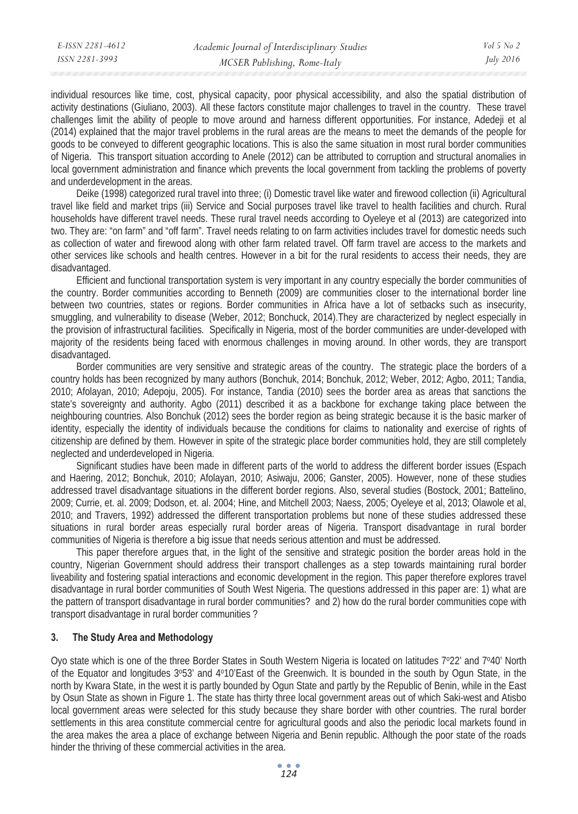individual resources like time, cost, physical capacity, poor physical accessibility, and also the spatial distribution of activity destinations (Giuliano, 2003). All these factors constitute major challenges to travel in the country. These travel challenges limit the ability of people to move around and harness different opportunities. For instance, Adedeji et al (2014) explained that the major travel problems in the rural areas are the means to meet the demands of the people for goods to be conveyed to different geographic locations. This is also the same situation in most rural border communities of Nigeria. This transport situation according to Anele (2012) can be attributed to corruption and structural anomalies in local government administration and finance which prevents the local government from tackling the problems of poverty and underdevelopment in the areas.

Deike (1998) categorized rural travel into three; (i) Domestic travel like water and firewood collection (ii) Agricultural travel like field and market trips (iii) Service and Social purposes travel like travel to health facilities and church. Rural households have different travel needs. These rural travel needs according to Oyeleye et al (2013) are categorized into two. They are: "on farm" and "off farm". Travel needs relating to on farm activities includes travel for domestic needs such as collection of water and firewood along with other farm related travel. Off farm travel are access to the markets and other services like schools and health centres. However in a bit for the rural residents to access their needs, they are disadvantaged.

Efficient and functional transportation system is very important in any country especially the border communities of the country. Border communities according to Benneth (2009) are communities closer to the international border line between two countries, states or regions. Border communities in Africa have a lot of setbacks such as insecurity, smuggling, and vulnerability to disease (Weber, 2012; Bonchuck, 2014).They are characterized by neglect especially in the provision of infrastructural facilities. Specifically in Nigeria, most of the border communities are under-developed with majority of the residents being faced with enormous challenges in moving around. In other words, they are transport disadvantaged.

Border communities are very sensitive and strategic areas of the country. The strategic place the borders of a country holds has been recognized by many authors (Bonchuk, 2014; Bonchuk, 2012; Weber, 2012; Agbo, 2011; Tandia, 2010; Afolayan, 2010; Adepoju, 2005). For instance, Tandia (2010) sees the border area as areas that sanctions the state's sovereignty and authority. Agbo (2011) described it as a backbone for exchange taking place between the neighbouring countries. Also Bonchuk (2012) sees the border region as being strategic because it is the basic marker of identity, especially the identity of individuals because the conditions for claims to nationality and exercise of rights of citizenship are defined by them. However in spite of the strategic place border communities hold, they are still completely neglected and underdeveloped in Nigeria.

Significant studies have been made in different parts of the world to address the different border issues (Espach and Haering, 2012; Bonchuk, 2010; Afolayan, 2010; Asiwaju, 2006; Ganster, 2005). However, none of these studies addressed travel disadvantage situations in the different border regions. Also, several studies (Bostock, 2001; Battelino, 2009; Currie, et. al. 2009; Dodson, et. al. 2004; Hine, and Mitchell 2003; Naess, 2005; Oyeleye et al, 2013; Olawole et al, 2010; and Travers, 1992) addressed the different transportation problems but none of these studies addressed these situations in rural border areas especially rural border areas of Nigeria. Transport disadvantage in rural border communities of Nigeria is therefore a big issue that needs serious attention and must be addressed.

This paper therefore argues that, in the light of the sensitive and strategic position the border areas hold in the country, Nigerian Government should address their transport challenges as a step towards maintaining rural border liveability and fostering spatial interactions and economic development in the region. This paper therefore explores travel disadvantage in rural border communities of South West Nigeria. The questions addressed in this paper are: 1) what are the pattern of transport disadvantage in rural border communities? and 2) how do the rural border communities cope with transport disadvantage in rural border communities ?

#### **3. The Study Area and Methodology**

Oyo state which is one of the three Border States in South Western Nigeria is located on latitudes 7°22' and 7°40' North of the Equator and longitudes 3°53' and 4°10'East of the Greenwich. It is bounded in the south by Ogun State, in the north by Kwara State, in the west it is partly bounded by Ogun State and partly by the Republic of Benin, while in the East by Osun State as shown in Figure 1. The state has thirty three local government areas out of which Saki-west and Atisbo local government areas were selected for this study because they share border with other countries. The rural border settlements in this area constitute commercial centre for agricultural goods and also the periodic local markets found in the area makes the area a place of exchange between Nigeria and Benin republic. Although the poor state of the roads hinder the thriving of these commercial activities in the area.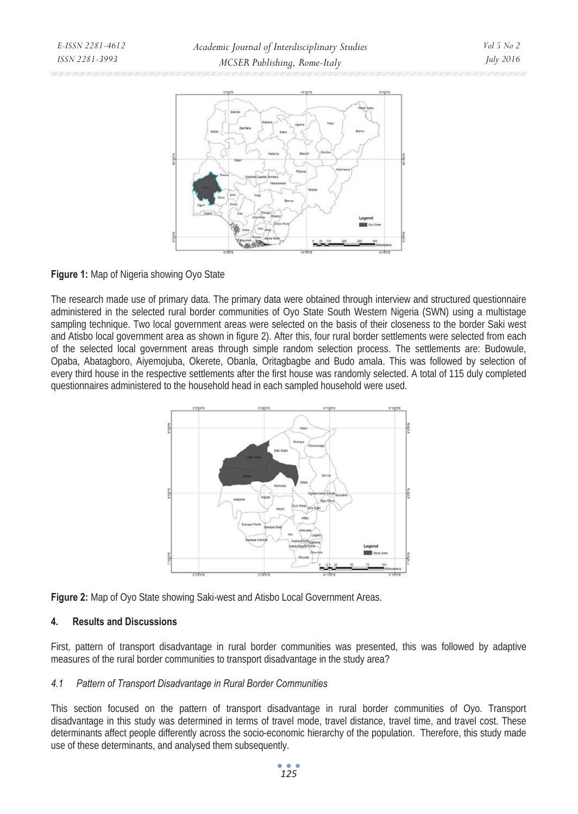

**Figure 1:** Map of Nigeria showing Oyo State

The research made use of primary data. The primary data were obtained through interview and structured questionnaire administered in the selected rural border communities of Oyo State South Western Nigeria (SWN) using a multistage sampling technique. Two local government areas were selected on the basis of their closeness to the border Saki west and Atisbo local government area as shown in figure 2). After this, four rural border settlements were selected from each of the selected local government areas through simple random selection process. The settlements are: Budowule, Opaba, Abatagboro, Aiyemojuba, Okerete, Obanla, Oritagbagbe and Budo amala. This was followed by selection of every third house in the respective settlements after the first house was randomly selected. A total of 115 duly completed questionnaires administered to the household head in each sampled household were used.



**Figure 2:** Map of Oyo State showing Saki-west and Atisbo Local Government Areas.

## **4. Results and Discussions**

First, pattern of transport disadvantage in rural border communities was presented, this was followed by adaptive measures of the rural border communities to transport disadvantage in the study area?

## *4.1 Pattern of Transport Disadvantage in Rural Border Communities*

This section focused on the pattern of transport disadvantage in rural border communities of Oyo. Transport disadvantage in this study was determined in terms of travel mode, travel distance, travel time, and travel cost. These determinants affect people differently across the socio-economic hierarchy of the population. Therefore, this study made use of these determinants, and analysed them subsequently.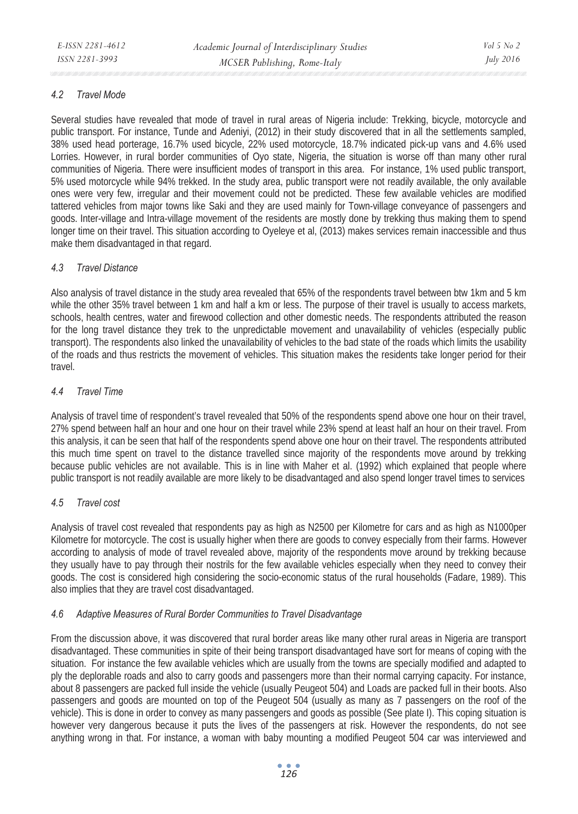# *4.2 Travel Mode*

Several studies have revealed that mode of travel in rural areas of Nigeria include: Trekking, bicycle, motorcycle and public transport. For instance, Tunde and Adeniyi, (2012) in their study discovered that in all the settlements sampled, 38% used head porterage, 16.7% used bicycle, 22% used motorcycle, 18.7% indicated pick-up vans and 4.6% used Lorries. However, in rural border communities of Oyo state, Nigeria, the situation is worse off than many other rural communities of Nigeria. There were insufficient modes of transport in this area. For instance, 1% used public transport, 5% used motorcycle while 94% trekked. In the study area, public transport were not readily available, the only available ones were very few, irregular and their movement could not be predicted. These few available vehicles are modified tattered vehicles from major towns like Saki and they are used mainly for Town-village conveyance of passengers and goods. Inter-village and Intra-village movement of the residents are mostly done by trekking thus making them to spend longer time on their travel. This situation according to Oyeleye et al, (2013) makes services remain inaccessible and thus make them disadvantaged in that regard.

## *4.3 Travel Distance*

Also analysis of travel distance in the study area revealed that 65% of the respondents travel between btw 1km and 5 km while the other 35% travel between 1 km and half a km or less. The purpose of their travel is usually to access markets, schools, health centres, water and firewood collection and other domestic needs. The respondents attributed the reason for the long travel distance they trek to the unpredictable movement and unavailability of vehicles (especially public transport). The respondents also linked the unavailability of vehicles to the bad state of the roads which limits the usability of the roads and thus restricts the movement of vehicles. This situation makes the residents take longer period for their travel.

# *4.4 Travel Time*

Analysis of travel time of respondent's travel revealed that 50% of the respondents spend above one hour on their travel, 27% spend between half an hour and one hour on their travel while 23% spend at least half an hour on their travel. From this analysis, it can be seen that half of the respondents spend above one hour on their travel. The respondents attributed this much time spent on travel to the distance travelled since majority of the respondents move around by trekking because public vehicles are not available. This is in line with Maher et al. (1992) which explained that people where public transport is not readily available are more likely to be disadvantaged and also spend longer travel times to services

# *4.5 Travel cost*

Analysis of travel cost revealed that respondents pay as high as N2500 per Kilometre for cars and as high as N1000per Kilometre for motorcycle. The cost is usually higher when there are goods to convey especially from their farms. However according to analysis of mode of travel revealed above, majority of the respondents move around by trekking because they usually have to pay through their nostrils for the few available vehicles especially when they need to convey their goods. The cost is considered high considering the socio-economic status of the rural households (Fadare, 1989). This also implies that they are travel cost disadvantaged.

## *4.6 Adaptive Measures of Rural Border Communities to Travel Disadvantage*

From the discussion above, it was discovered that rural border areas like many other rural areas in Nigeria are transport disadvantaged. These communities in spite of their being transport disadvantaged have sort for means of coping with the situation. For instance the few available vehicles which are usually from the towns are specially modified and adapted to ply the deplorable roads and also to carry goods and passengers more than their normal carrying capacity. For instance, about 8 passengers are packed full inside the vehicle (usually Peugeot 504) and Loads are packed full in their boots. Also passengers and goods are mounted on top of the Peugeot 504 (usually as many as 7 passengers on the roof of the vehicle). This is done in order to convey as many passengers and goods as possible (See plate I). This coping situation is however very dangerous because it puts the lives of the passengers at risk. However the respondents, do not see anything wrong in that. For instance, a woman with baby mounting a modified Peugeot 504 car was interviewed and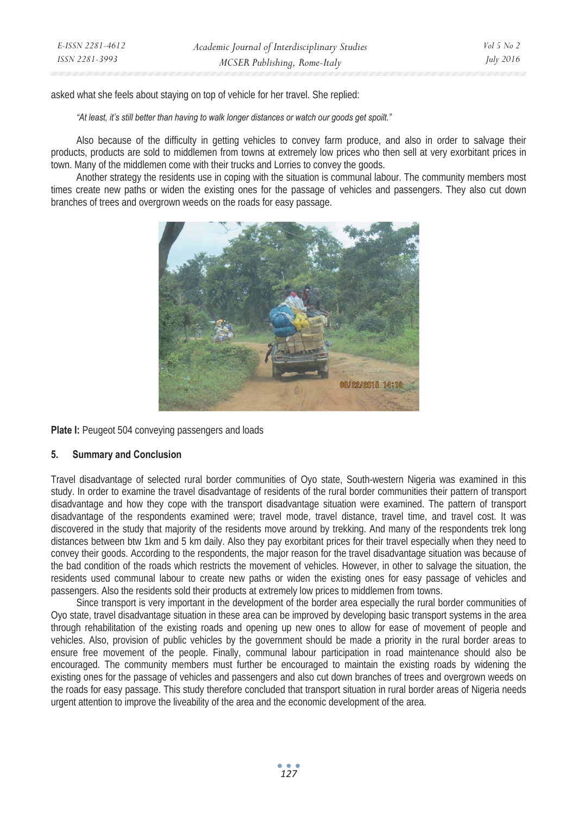asked what she feels about staying on top of vehicle for her travel. She replied:

*"At least, it's still better than having to walk longer distances or watch our goods get spoilt."* 

Also because of the difficulty in getting vehicles to convey farm produce, and also in order to salvage their products, products are sold to middlemen from towns at extremely low prices who then sell at very exorbitant prices in town. Many of the middlemen come with their trucks and Lorries to convey the goods.

Another strategy the residents use in coping with the situation is communal labour. The community members most times create new paths or widen the existing ones for the passage of vehicles and passengers. They also cut down branches of trees and overgrown weeds on the roads for easy passage.



Plate I: Peugeot 504 conveying passengers and loads

#### **5. Summary and Conclusion**

Travel disadvantage of selected rural border communities of Oyo state, South-western Nigeria was examined in this study. In order to examine the travel disadvantage of residents of the rural border communities their pattern of transport disadvantage and how they cope with the transport disadvantage situation were examined. The pattern of transport disadvantage of the respondents examined were; travel mode, travel distance, travel time, and travel cost. It was discovered in the study that majority of the residents move around by trekking. And many of the respondents trek long distances between btw 1km and 5 km daily. Also they pay exorbitant prices for their travel especially when they need to convey their goods. According to the respondents, the major reason for the travel disadvantage situation was because of the bad condition of the roads which restricts the movement of vehicles. However, in other to salvage the situation, the residents used communal labour to create new paths or widen the existing ones for easy passage of vehicles and passengers. Also the residents sold their products at extremely low prices to middlemen from towns.

Since transport is very important in the development of the border area especially the rural border communities of Oyo state, travel disadvantage situation in these area can be improved by developing basic transport systems in the area through rehabilitation of the existing roads and opening up new ones to allow for ease of movement of people and vehicles. Also, provision of public vehicles by the government should be made a priority in the rural border areas to ensure free movement of the people. Finally, communal labour participation in road maintenance should also be encouraged. The community members must further be encouraged to maintain the existing roads by widening the existing ones for the passage of vehicles and passengers and also cut down branches of trees and overgrown weeds on the roads for easy passage. This study therefore concluded that transport situation in rural border areas of Nigeria needs urgent attention to improve the liveability of the area and the economic development of the area.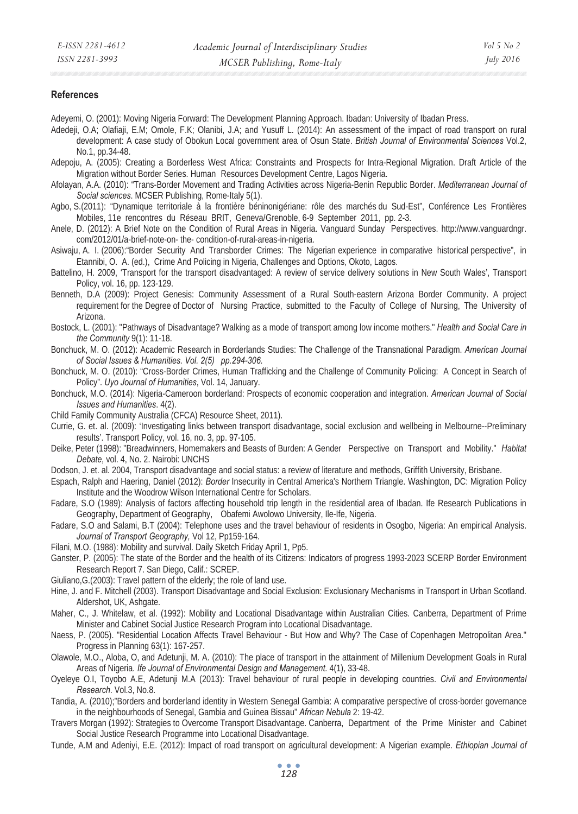#### **References**

Adeyemi, O. (2001): Moving Nigeria Forward: The Development Planning Approach. Ibadan: University of Ibadan Press.

Adedeji, O.A; Olafiaji, E.M; Omole, F.K; Olanibi, J.A; and Yusuff L. (2014): An assessment of the impact of road transport on rural development: A case study of Obokun Local government area of Osun State. *British Journal of Environmental Sciences* Vol.2, No.1, pp.34-48.

Adepoju, A. (2005): Creating a Borderless West Africa: Constraints and Prospects for Intra-Regional Migration. Draft Article of the Migration without Border Series. Human Resources Development Centre, Lagos Nigeria.

Afolayan, A.A. (2010): "Trans-Border Movement and Trading Activities across Nigeria-Benin Republic Border. *Mediterranean Journal of Social sciences*. MCSER Publishing, Rome-Italy 5(1).

Agbo, S.(2011): "Dynamique territoriale à la frontière béninonigériane: rôle des marchés du Sud-Est", Conférence Les Frontières Mobiles, 11e rencontres du Réseau BRIT, Geneva/Grenoble, 6-9 September 2011, pp. 2-3.

Anele, D. (2012): A Brief Note on the Condition of Rural Areas in Nigeria. Vanguard Sunday Perspectives. http://www.vanguardngr. com/2012/01/a-brief-note-on- the- condition-of-rural-areas-in-nigeria.

Asiwaju, A. I. (2006):"Border Security And Transborder Crimes: The Nigerian experience in comparative historical perspective", in Etannibi, O. A. (ed.), Crime And Policing in Nigeria, Challenges and Options, Okoto, Lagos.

Battelino, H. 2009, 'Transport for the transport disadvantaged: A review of service delivery solutions in New South Wales', Transport Policy, vol. 16, pp. 123-129.

Benneth, D.A (2009): Project Genesis: Community Assessment of a Rural South-eastern Arizona Border Community. A project requirement for the Degree of Doctor of Nursing Practice, submitted to the Faculty of College of Nursing, The University of Arizona.

Bostock, L. (2001): "Pathways of Disadvantage? Walking as a mode of transport among low income mothers." *Health and Social Care in the Community* 9(1): 11-18.

Bonchuck, M. O. (2012): Academic Research in Borderlands Studies: The Challenge of the Transnational Paradigm. *American Journal of Social Issues & Humanities. Vol. 2(5) pp.294-306.*

Bonchuck, M. O. (2010): "Cross-Border Crimes, Human Trafficking and the Challenge of Community Policing: A Concept in Search of Policy". *Uyo Journal of Humanities*, Vol. 14, January.

Bonchuck, M.O. (2014): Nigeria-Cameroon borderland: Prospects of economic cooperation and integration. *American Journal of Social Issues and Humanities*. 4(2).

Child Family Community Australia (CFCA) Resource Sheet, 2011).

Currie, G. et. al. (2009): 'Investigating links between transport disadvantage, social exclusion and wellbeing in Melbourne--Preliminary results'. Transport Policy, vol. 16, no. 3, pp. 97-105.

Deike, Peter (1998): "Breadwinners, Homemakers and Beasts of Burden: A Gender Perspective on Transport and Mobility." *Habitat Debate,* vol. 4, No. 2. Nairobi: UNCHS

Dodson, J. et. al. 2004, Transport disadvantage and social status: a review of literature and methods, Griffith University, Brisbane.

Espach, Ralph and Haering, Daniel (2012): *Border* Insecurity in Central America's Northern Triangle. Washington, DC: Migration Policy Institute and the Woodrow Wilson International Centre for Scholars.

Fadare, S.O (1989): Analysis of factors affecting household trip length in the residential area of Ibadan. Ife Research Publications in Geography, Department of Geography, Obafemi Awolowo University, Ile-Ife, Nigeria.

Fadare, S.O and Salami, B.T (2004): Telephone uses and the travel behaviour of residents in Osogbo, Nigeria: An empirical Analysis. *Journal of Transport Geography,* Vol 12, Pp159-164.

Filani, M.O. (1988): Mobility and survival. Daily Sketch Friday April 1, Pp5.

Ganster, P. (2005): The state of the Border and the health of its Citizens: Indicators of progress 1993-2023 SCERP Border Environment Research Report 7. San Diego, Calif.: SCREP.

Giuliano,G.(2003): Travel pattern of the elderly; the role of land use.

Hine, J. and F. Mitchell (2003). Transport Disadvantage and Social Exclusion: Exclusionary Mechanisms in Transport in Urban Scotland. Aldershot, UK, Ashgate.

Maher, C., J. Whitelaw, et al. (1992): Mobility and Locational Disadvantage within Australian Cities. Canberra, Department of Prime Minister and Cabinet Social Justice Research Program into Locational Disadvantage.

Naess, P. (2005). "Residential Location Affects Travel Behaviour - But How and Why? The Case of Copenhagen Metropolitan Area." Progress in Planning 63(1): 167-257.

Olawole, M.O., Aloba, O, and Adetunji, M. A. (2010): The place of transport in the attainment of Millenium Development Goals in Rural Areas of Nigeria. *Ife Journal of Environmental Design and Management.* 4(1), 33-48.

Oyeleye O.I, Toyobo A.E, Adetunji M.A (2013): Travel behaviour of rural people in developing countries. *Civil and Environmental Research*. Vol.3, No.8.

Tandia, A. (2010);"Borders and borderland identity in Western Senegal Gambia: A comparative perspective of cross-border governance in the neighbourhoods of Senegal, Gambia and Guinea Bissau" *African Nebula* 2: 19-42.

Travers Morgan (1992): Strategies to Overcome Transport Disadvantage. Canberra, Department of the Prime Minister and Cabinet Social Justice Research Programme into Locational Disadvantage.

Tunde, A.M and Adeniyi, E.E. (2012): Impact of road transport on agricultural development: A Nigerian example. *Ethiopian Journal of*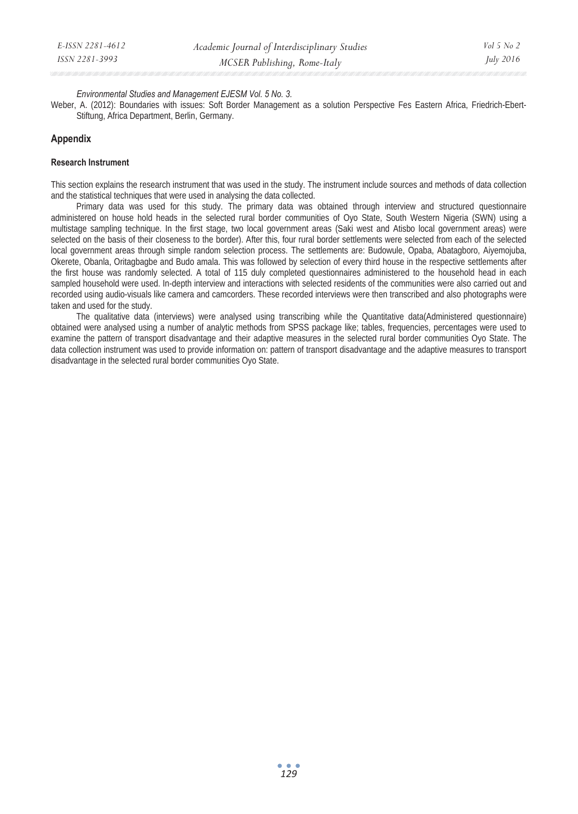*Environmental Studies and Management EJESM Vol. 5 No. 3.* 

Weber, A. (2012): Boundaries with issues: Soft Border Management as a solution Perspective Fes Eastern Africa, Friedrich-Ebert-Stiftung, Africa Department, Berlin, Germany.

#### **Appendix**

#### **Research Instrument**

This section explains the research instrument that was used in the study. The instrument include sources and methods of data collection and the statistical techniques that were used in analysing the data collected.

Primary data was used for this study. The primary data was obtained through interview and structured questionnaire administered on house hold heads in the selected rural border communities of Oyo State, South Western Nigeria (SWN) using a multistage sampling technique. In the first stage, two local government areas (Saki west and Atisbo local government areas) were selected on the basis of their closeness to the border). After this, four rural border settlements were selected from each of the selected local government areas through simple random selection process. The settlements are: Budowule, Opaba, Abatagboro, Aiyemojuba, Okerete, Obanla, Oritagbagbe and Budo amala. This was followed by selection of every third house in the respective settlements after the first house was randomly selected. A total of 115 duly completed questionnaires administered to the household head in each sampled household were used. In-depth interview and interactions with selected residents of the communities were also carried out and recorded using audio-visuals like camera and camcorders. These recorded interviews were then transcribed and also photographs were taken and used for the study.

The qualitative data (interviews) were analysed using transcribing while the Quantitative data(Administered questionnaire) obtained were analysed using a number of analytic methods from SPSS package like; tables, frequencies, percentages were used to examine the pattern of transport disadvantage and their adaptive measures in the selected rural border communities Oyo State. The data collection instrument was used to provide information on: pattern of transport disadvantage and the adaptive measures to transport disadvantage in the selected rural border communities Oyo State.